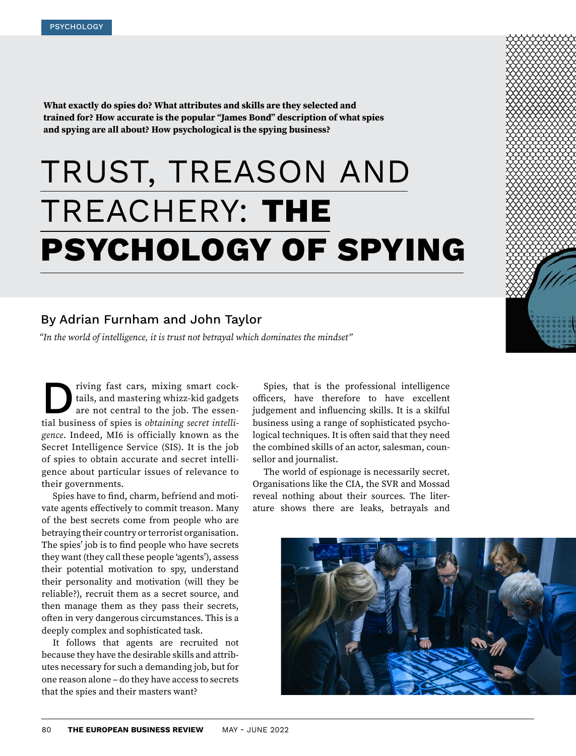**What exactly do spies do? What attributes and skills are they selected and trained for? How accurate is the popular "James Bond" description of what spies and spying are all about? How psychological is the spying business?**

# TRUST, TREASON AND TREACHERY: **THE PSYCHOLOGY OF SPYING**

## By Adrian Furnham and John Taylor

*"In the world of intelligence, it is trust not betrayal which dominates the mindset"*

Driving fast cars, mixing smart cock-tial business of spies is *obtaining secret intelli*tails, and mastering whizz-kid gadgets are not central to the job. The essen*gence*. Indeed, MI6 is officially known as the Secret Intelligence Service (SIS). It is the job of spies to obtain accurate and secret intelligence about particular issues of relevance to their governments.

Spies have to find, charm, befriend and motivate agents effectively to commit treason. Many of the best secrets come from people who are betraying their country or terrorist organisation. The spies' job is to find people who have secrets they want (they call these people 'agents'), assess their potential motivation to spy, understand their personality and motivation (will they be reliable?), recruit them as a secret source, and then manage them as they pass their secrets, often in very dangerous circumstances. This is a deeply complex and sophisticated task.

It follows that agents are recruited not because they have the desirable skills and attributes necessary for such a demanding job, but for one reason alone – do they have access to secrets that the spies and their masters want?

Spies, that is the professional intelligence officers, have therefore to have excellent judgement and influencing skills. It is a skilful business using a range of sophisticated psychological techniques. It is often said that they need the combined skills of an actor, salesman, counsellor and journalist.

The world of espionage is necessarily secret. Organisations like the CIA, the SVR and Mossad reveal nothing about their sources. The literature shows there are leaks, betrayals and

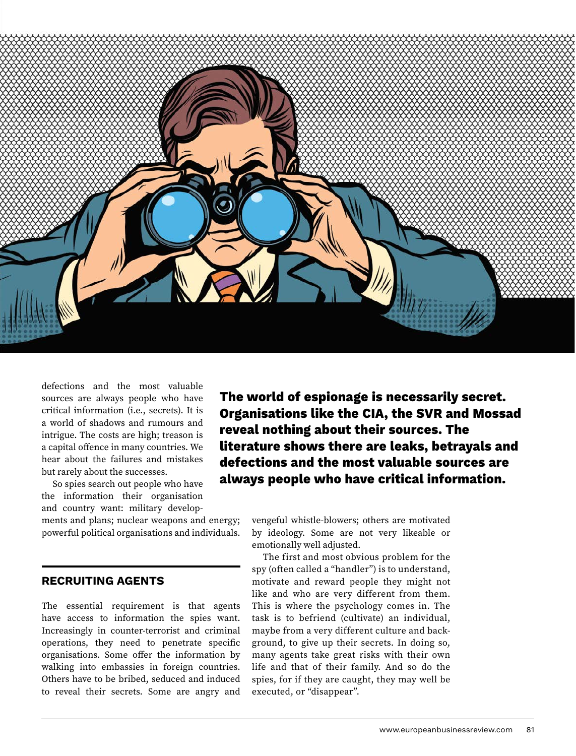

defections and the most valuable sources are always people who have critical information (i.e., secrets). It is a world of shadows and rumours and intrigue. The costs are high; treason is a capital offence in many countries. We hear about the failures and mistakes but rarely about the successes.

So spies search out people who have the information their organisation and country want: military develop-

ments and plans; nuclear weapons and energy; powerful political organisations and individuals.

#### **RECRUITING AGENTS**

The essential requirement is that agents have access to information the spies want. Increasingly in counter-terrorist and criminal operations, they need to penetrate specific organisations. Some offer the information by walking into embassies in foreign countries. Others have to be bribed, seduced and induced to reveal their secrets. Some are angry and

**The world of espionage is necessarily secret. Organisations like the CIA, the SVR and Mossad reveal nothing about their sources. The literature shows there are leaks, betrayals and defections and the most valuable sources are always people who have critical information.**

> vengeful whistle-blowers; others are motivated by ideology. Some are not very likeable or emotionally well adjusted.

> The first and most obvious problem for the spy (often called a "handler") is to understand, motivate and reward people they might not like and who are very different from them. This is where the psychology comes in. The task is to befriend (cultivate) an individual, maybe from a very different culture and background, to give up their secrets. In doing so, many agents take great risks with their own life and that of their family. And so do the spies, for if they are caught, they may well be executed, or "disappear".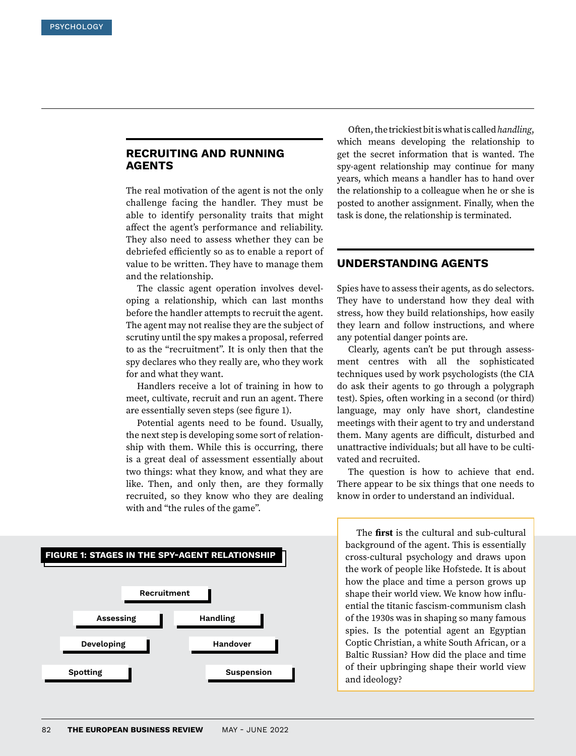## **RECRUITING AND RUNNING AGENTS**

The real motivation of the agent is not the only challenge facing the handler. They must be able to identify personality traits that might affect the agent's performance and reliability. They also need to assess whether they can be debriefed efficiently so as to enable a report of value to be written. They have to manage them and the relationship.

The classic agent operation involves developing a relationship, which can last months before the handler attempts to recruit the agent. The agent may not realise they are the subject of scrutiny until the spy makes a proposal, referred to as the "recruitment". It is only then that the spy declares who they really are, who they work for and what they want.

Handlers receive a lot of training in how to meet, cultivate, recruit and run an agent. There are essentially seven steps (see figure 1).

Potential agents need to be found. Usually, the next step is developing some sort of relationship with them. While this is occurring, there is a great deal of assessment essentially about two things: what they know, and what they are like. Then, and only then, are they formally recruited, so they know who they are dealing with and "the rules of the game".



Often, the trickiest bit is what is called *handling*, which means developing the relationship to get the secret information that is wanted. The spy-agent relationship may continue for many years, which means a handler has to hand over the relationship to a colleague when he or she is posted to another assignment. Finally, when the task is done, the relationship is terminated.

## **UNDERSTANDING AGENTS**

Spies have to assess their agents, as do selectors. They have to understand how they deal with stress, how they build relationships, how easily they learn and follow instructions, and where any potential danger points are.

Clearly, agents can't be put through assessment centres with all the sophisticated techniques used by work psychologists (the CIA do ask their agents to go through a polygraph test). Spies, often working in a second (or third) language, may only have short, clandestine meetings with their agent to try and understand them. Many agents are difficult, disturbed and unattractive individuals; but all have to be cultivated and recruited.

The question is how to achieve that end. There appear to be six things that one needs to know in order to understand an individual.

The **first** is the cultural and sub-cultural background of the agent. This is essentially cross-cultural psychology and draws upon the work of people like Hofstede. It is about how the place and time a person grows up shape their world view. We know how influential the titanic fascism-communism clash of the 1930s was in shaping so many famous spies. Is the potential agent an Egyptian Coptic Christian, a white South African, or a Baltic Russian? How did the place and time of their upbringing shape their world view and ideology?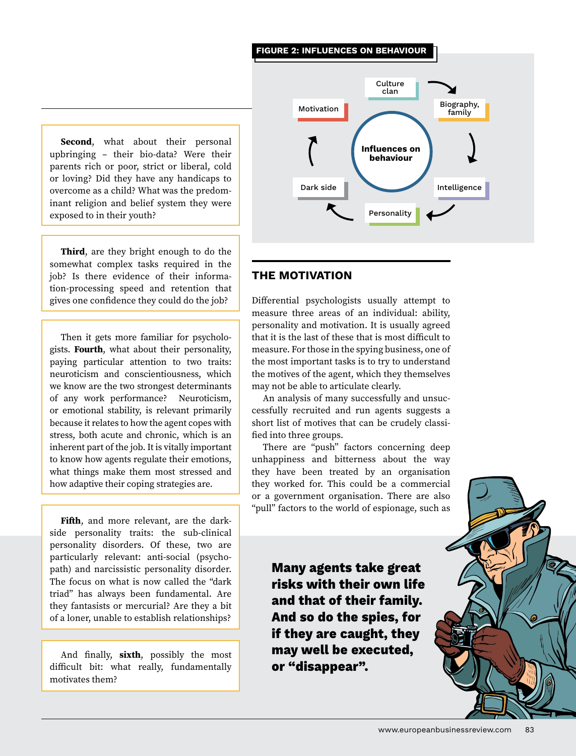#### **FIGURE 2: INFLUENCES ON BEHAVIOUR**

**Second**, what about their personal upbringing – their bio-data? Were their parents rich or poor, strict or liberal, cold or loving? Did they have any handicaps to overcome as a child? What was the predominant religion and belief system they were exposed to in their youth?

**Third**, are they bright enough to do the somewhat complex tasks required in the job? Is there evidence of their information-processing speed and retention that gives one confidence they could do the job?

Then it gets more familiar for psychologists. **Fourth**, what about their personality, paying particular attention to two traits: neuroticism and conscientiousness, which we know are the two strongest determinants of any work performance? Neuroticism, or emotional stability, is relevant primarily because it relates to how the agent copes with stress, both acute and chronic, which is an inherent part of the job. It is vitally important to know how agents regulate their emotions, what things make them most stressed and how adaptive their coping strategies are.

**Fifth**, and more relevant, are the darkside personality traits: the sub-clinical personality disorders. Of these, two are particularly relevant: anti-social (psychopath) and narcissistic personality disorder. The focus on what is now called the "dark triad" has always been fundamental. Are they fantasists or mercurial? Are they a bit of a loner, unable to establish relationships?

And finally, **sixth**, possibly the most difficult bit: what really, fundamentally motivates them?



## **THE MOTIVATION**

Differential psychologists usually attempt to measure three areas of an individual: ability, personality and motivation. It is usually agreed that it is the last of these that is most difficult to measure. For those in the spying business, one of the most important tasks is to try to understand the motives of the agent, which they themselves may not be able to articulate clearly.

An analysis of many successfully and unsuccessfully recruited and run agents suggests a short list of motives that can be crudely classified into three groups.

There are "push" factors concerning deep unhappiness and bitterness about the way they have been treated by an organisation they worked for. This could be a commercial or a government organisation. There are also "pull" factors to the world of espionage, such as

**Many agents take great risks with their own life and that of their family. And so do the spies, for if they are caught, they may well be executed, or "disappear".**

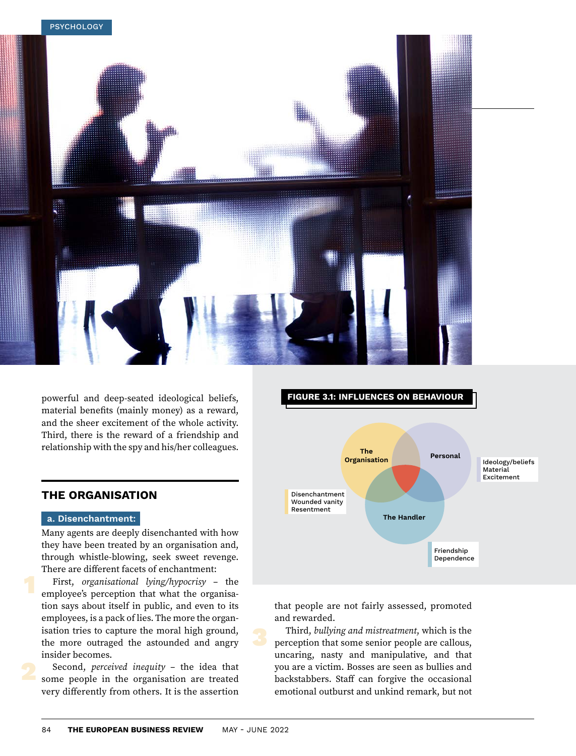

powerful and deep-seated ideological beliefs, material benefits (mainly money) as a reward, and the sheer excitement of the whole activity. Third, there is the reward of a friendship and relationship with the spy and his/her colleagues.

## **THE ORGANISATION**

#### **a. Disenchantment:**

Many agents are deeply disenchanted with how they have been treated by an organisation and, through whistle-blowing, seek sweet revenge. There are different facets of enchantment:

First, *organisational lying/hypocrisy* – the employee's perception that what the organisation says about itself in public, and even to its employees, is a pack of lies. The more the organisation tries to capture the moral high ground, the more outraged the astounded and angry insider becomes.

Second, *perceived inequity* – the idea that some people in the organisation are treated very differently from others. It is the assertion



that people are not fairly assessed, promoted and rewarded.

Third, *bullying and mistreatment*, which is the perception that some senior people are callous, uncaring, nasty and manipulative, and that you are a victim. Bosses are seen as bullies and backstabbers. Staff can forgive the occasional emotional outburst and unkind remark, but not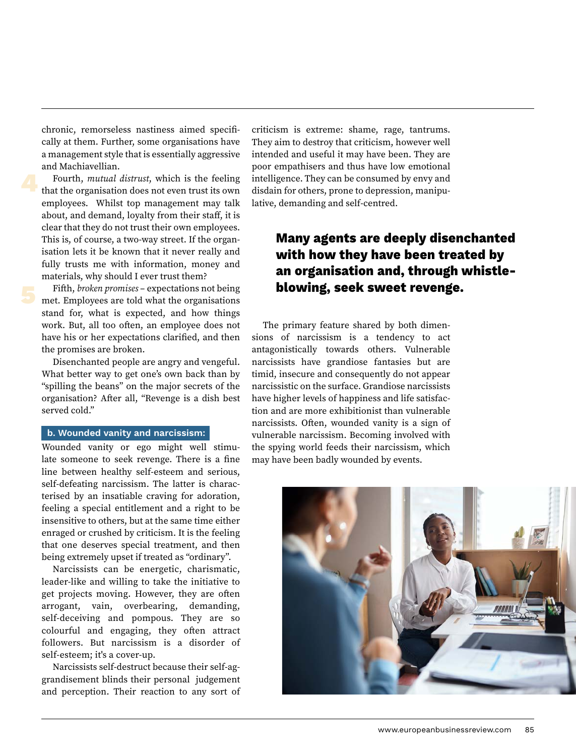chronic, remorseless nastiness aimed specifically at them. Further, some organisations have a management style that is essentially aggressive and Machiavellian.

Fourth, *mutual distrust*, which is the feeling that the organisation does not even trust its own employees. Whilst top management may talk about, and demand, loyalty from their staff, it is clear that they do not trust their own employees. This is, of course, a two-way street. If the organisation lets it be known that it never really and fully trusts me with information, money and materials, why should I ever trust them?

Fifth, *broken promises* – expectations not being met. Employees are told what the organisations stand for, what is expected, and how things work. But, all too often, an employee does not have his or her expectations clarified, and then the promises are broken.

Disenchanted people are angry and vengeful. What better way to get one's own back than by "spilling the beans" on the major secrets of the organisation? After all, "Revenge is a dish best served cold."

#### **b. Wounded vanity and narcissism:**

Wounded vanity or ego might well stimulate someone to seek revenge. There is a fine line between healthy self-esteem and serious, self-defeating narcissism. The latter is characterised by an insatiable craving for adoration, feeling a special entitlement and a right to be insensitive to others, but at the same time either enraged or crushed by criticism. It is the feeling that one deserves special treatment, and then being extremely upset if treated as "ordinary".

Narcissists can be energetic, charismatic, leader-like and willing to take the initiative to get projects moving. However, they are often arrogant, vain, overbearing, demanding, self-deceiving and pompous. They are so colourful and engaging, they often attract followers. But narcissism is a disorder of self-esteem; it's a cover-up.

Narcissists self-destruct because their self-aggrandisement blinds their personal judgement and perception. Their reaction to any sort of criticism is extreme: shame, rage, tantrums. They aim to destroy that criticism, however well intended and useful it may have been. They are poor empathisers and thus have low emotional intelligence. They can be consumed by envy and disdain for others, prone to depression, manipulative, demanding and self-centred.

## **Many agents are deeply disenchanted with how they have been treated by an organisation and, through whistleblowing, seek sweet revenge.**

The primary feature shared by both dimensions of narcissism is a tendency to act antagonistically towards others. Vulnerable narcissists have grandiose fantasies but are timid, insecure and consequently do not appear narcissistic on the surface. Grandiose narcissists have higher levels of happiness and life satisfaction and are more exhibitionist than vulnerable narcissists. Often, wounded vanity is a sign of vulnerable narcissism. Becoming involved with the spying world feeds their narcissism, which may have been badly wounded by events.

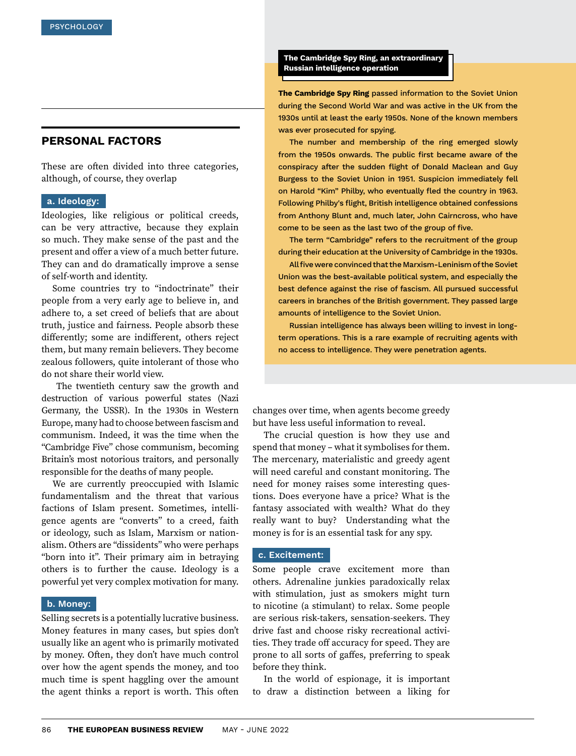## **PERSONAL FACTORS**

These are often divided into three categories, although, of course, they overlap

#### **a. Ideology:**

Ideologies, like religious or political creeds, can be very attractive, because they explain so much. They make sense of the past and the present and offer a view of a much better future. They can and do dramatically improve a sense of self-worth and identity.

Some countries try to "indoctrinate" their people from a very early age to believe in, and adhere to, a set creed of beliefs that are about truth, justice and fairness. People absorb these differently; some are indifferent, others reject them, but many remain believers. They become zealous followers, quite intolerant of those who do not share their world view.

 The twentieth century saw the growth and destruction of various powerful states (Nazi Germany, the USSR). In the 1930s in Western Europe, many had to choose between fascism and communism. Indeed, it was the time when the "Cambridge Five" chose communism, becoming Britain's most notorious traitors, and personally responsible for the deaths of many people.

We are currently preoccupied with Islamic fundamentalism and the threat that various factions of Islam present. Sometimes, intelligence agents are "converts" to a creed, faith or ideology, such as Islam, Marxism or nationalism. Others are "dissidents" who were perhaps "born into it". Their primary aim in betraying others is to further the cause. Ideology is a powerful yet very complex motivation for many.

#### **b. Money:**

Selling secrets is a potentially lucrative business. Money features in many cases, but spies don't usually like an agent who is primarily motivated by money. Often, they don't have much control over how the agent spends the money, and too much time is spent haggling over the amount the agent thinks a report is worth. This often

**The Cambridge Spy Ring, an extraordinary Russian intelligence operation**

**The Cambridge Spy Ring** passed information to the Soviet Union during the Second World War and was active in the UK from the 1930s until at least the early 1950s. None of the known members was ever prosecuted for spying.

The number and membership of the ring emerged slowly from the 1950s onwards. The public first became aware of the conspiracy after the sudden flight of Donald Maclean and Guy Burgess to the Soviet Union in 1951. Suspicion immediately fell on Harold "Kim" Philby, who eventually fled the country in 1963. Following Philby's flight, British intelligence obtained confessions from Anthony Blunt and, much later, John Cairncross, who have come to be seen as the last two of the group of five.

The term "Cambridge" refers to the recruitment of the group during their education at the University of Cambridge in the 1930s.

All five were convinced that the Marxism-Leninism of the Soviet Union was the best-available political system, and especially the best defence against the rise of fascism. All pursued successful careers in branches of the British government. They passed large amounts of intelligence to the Soviet Union.

Russian intelligence has always been willing to invest in longterm operations. This is a rare example of recruiting agents with no access to intelligence. They were penetration agents.

changes over time, when agents become greedy but have less useful information to reveal.

The crucial question is how they use and spend that money – what it symbolises for them. The mercenary, materialistic and greedy agent will need careful and constant monitoring. The need for money raises some interesting questions. Does everyone have a price? What is the fantasy associated with wealth? What do they really want to buy? Understanding what the money is for is an essential task for any spy.

#### **c. Excitement:**

Some people crave excitement more than others. Adrenaline junkies paradoxically relax with stimulation, just as smokers might turn to nicotine (a stimulant) to relax. Some people are serious risk-takers, sensation-seekers. They drive fast and choose risky recreational activities. They trade off accuracy for speed. They are prone to all sorts of gaffes, preferring to speak before they think.

In the world of espionage, it is important to draw a distinction between a liking for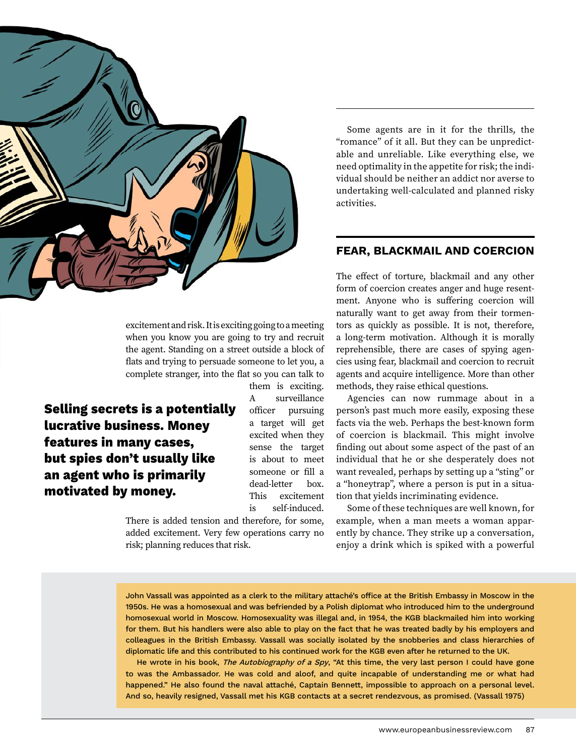

excitement and risk. It is exciting going to a meeting when you know you are going to try and recruit the agent. Standing on a street outside a block of flats and trying to persuade someone to let you, a complete stranger, into the flat so you can talk to

**Selling secrets is a potentially lucrative business. Money features in many cases, but spies don't usually like an agent who is primarily motivated by money.**

them is exciting. A surveillance officer pursuing a target will get excited when they sense the target is about to meet someone or fill a dead-letter box. This excitement is self-induced.

There is added tension and therefore, for some, added excitement. Very few operations carry no risk; planning reduces that risk.

Some agents are in it for the thrills, the "romance" of it all. But they can be unpredictable and unreliable. Like everything else, we need optimality in the appetite for risk; the individual should be neither an addict nor averse to undertaking well-calculated and planned risky activities.

#### **FEAR, BLACKMAIL AND COERCION**

The effect of torture, blackmail and any other form of coercion creates anger and huge resentment. Anyone who is suffering coercion will naturally want to get away from their tormentors as quickly as possible. It is not, therefore, a long-term motivation. Although it is morally reprehensible, there are cases of spying agencies using fear, blackmail and coercion to recruit agents and acquire intelligence. More than other methods, they raise ethical questions.

Agencies can now rummage about in a person's past much more easily, exposing these facts via the web. Perhaps the best-known form of coercion is blackmail. This might involve finding out about some aspect of the past of an individual that he or she desperately does not want revealed, perhaps by setting up a "sting" or a "honeytrap", where a person is put in a situation that yields incriminating evidence.

Some of these techniques are well known, for example, when a man meets a woman apparently by chance. They strike up a conversation, enjoy a drink which is spiked with a powerful

John Vassall was appointed as a clerk to the military attaché's office at the British Embassy in Moscow in the 1950s. He was a homosexual and was befriended by a Polish diplomat who introduced him to the underground homosexual world in Moscow. Homosexuality was illegal and, in 1954, the KGB blackmailed him into working for them. But his handlers were also able to play on the fact that he was treated badly by his employers and colleagues in the British Embassy. Vassall was socially isolated by the snobberies and class hierarchies of diplomatic life and this contributed to his continued work for the KGB even after he returned to the UK.

He wrote in his book, The Autobiography of a Spy, "At this time, the very last person I could have gone to was the Ambassador. He was cold and aloof, and quite incapable of understanding me or what had happened." He also found the naval attaché, Captain Bennett, impossible to approach on a personal level. And so, heavily resigned, Vassall met his KGB contacts at a secret rendezvous, as promised. (Vassall 1975)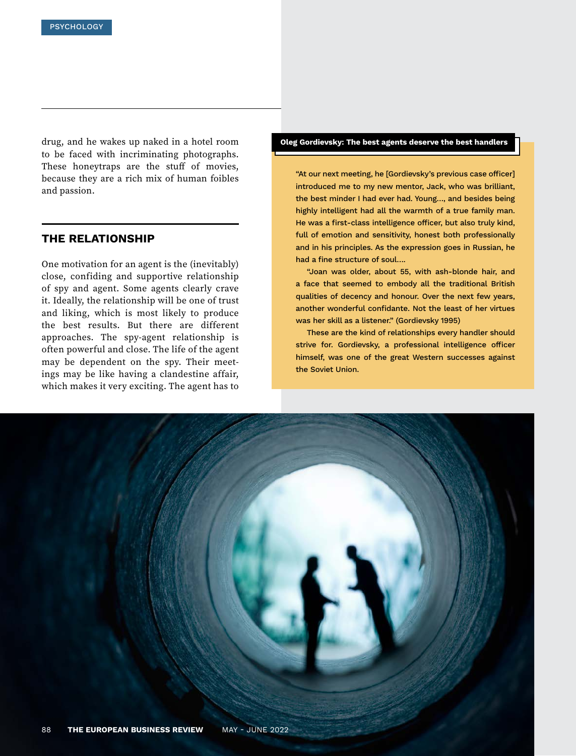drug, and he wakes up naked in a hotel room to be faced with incriminating photographs. These honeytraps are the stuff of movies, because they are a rich mix of human foibles and passion.

## **THE RELATIONSHIP**

One motivation for an agent is the (inevitably) close, confiding and supportive relationship of spy and agent. Some agents clearly crave it. Ideally, the relationship will be one of trust and liking, which is most likely to produce the best results. But there are different approaches. The spy-agent relationship is often powerful and close. The life of the agent may be dependent on the spy. Their meetings may be like having a clandestine affair, which makes it very exciting. The agent has to

#### **Oleg Gordievsky: The best agents deserve the best handlers**

"At our next meeting, he [Gordievsky's previous case officer] introduced me to my new mentor, Jack, who was brilliant, the best minder I had ever had. Young…, and besides being highly intelligent had all the warmth of a true family man. He was a first-class intelligence officer, but also truly kind, full of emotion and sensitivity, honest both professionally and in his principles. As the expression goes in Russian, he had a fine structure of soul….

"Joan was older, about 55, with ash-blonde hair, and a face that seemed to embody all the traditional British qualities of decency and honour. Over the next few years, another wonderful confidante. Not the least of her virtues was her skill as a listener." (Gordievsky 1995)

These are the kind of relationships every handler should strive for. Gordievsky, a professional intelligence officer himself, was one of the great Western successes against the Soviet Union.